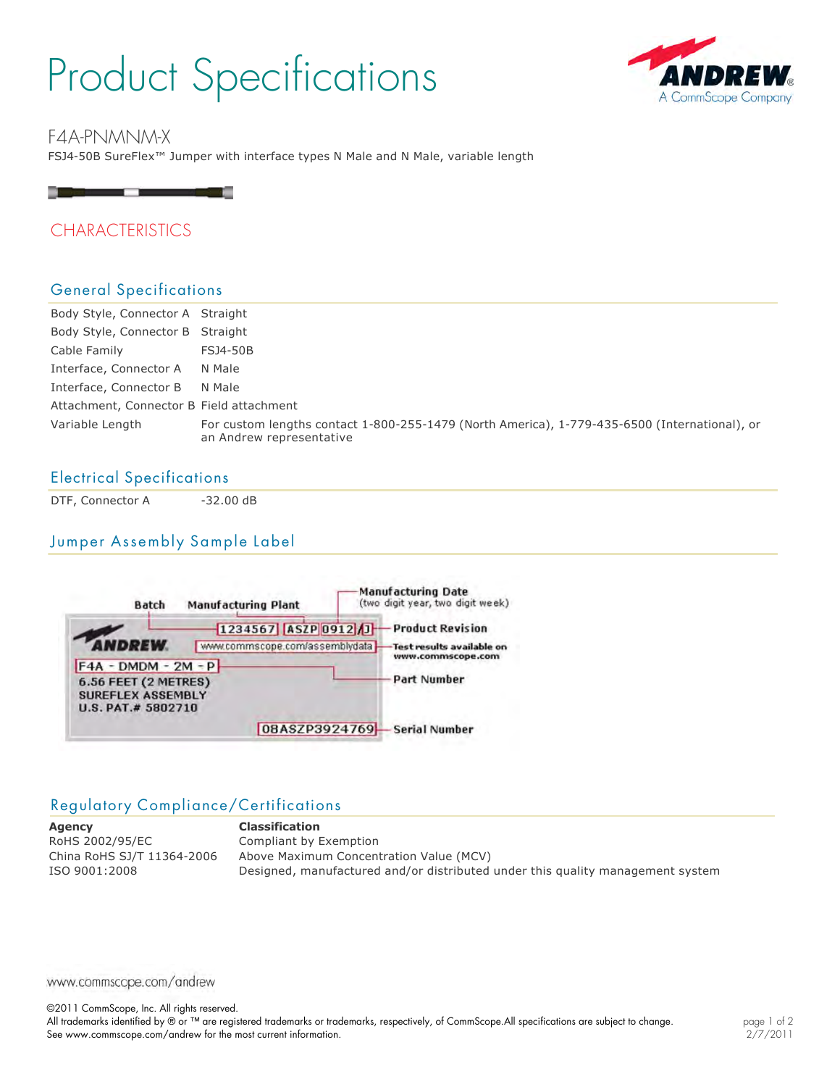# Product Specifications



FSJ4-50B SureFlex™ Jumper with interface types N Male and N Male, variable length F4A-PNMNM-X



# CHARACTERISTICS

## General Specifications

| Body Style, Connector A Straight         |                                                                                                                           |
|------------------------------------------|---------------------------------------------------------------------------------------------------------------------------|
| Body Style, Connector B Straight         |                                                                                                                           |
| Cable Family                             | <b>FSJ4-50B</b>                                                                                                           |
| Interface, Connector A                   | N Male                                                                                                                    |
| Interface, Connector B                   | N Male                                                                                                                    |
| Attachment, Connector B Field attachment |                                                                                                                           |
| Variable Length                          | For custom lengths contact 1-800-255-1479 (North America), 1-779-435-6500 (International), or<br>an Andrew representative |

## Electrical Specifications

DTF, Connector A 32.00 dB

## Jumper Assembly Sample Label



## Regulatory Compliance/Certifications

**Agency Classification** RoHS 2002/95/EC Compliant by Exemption China RoHS SJ/T 11364-2006 Above Maximum Concentration Value (MCV) ISO 9001:2008 Designed, manufactured and/or distributed under this quality management system

www.commscope.com/andrew

©2011 CommScope, Inc. All rights reserved.

All trademarks identified by ® or ™ are registered trademarks or trademarks, respectively, of CommScope.All specifications are subject to change. See www.commscope.com/andrew for the most current information.